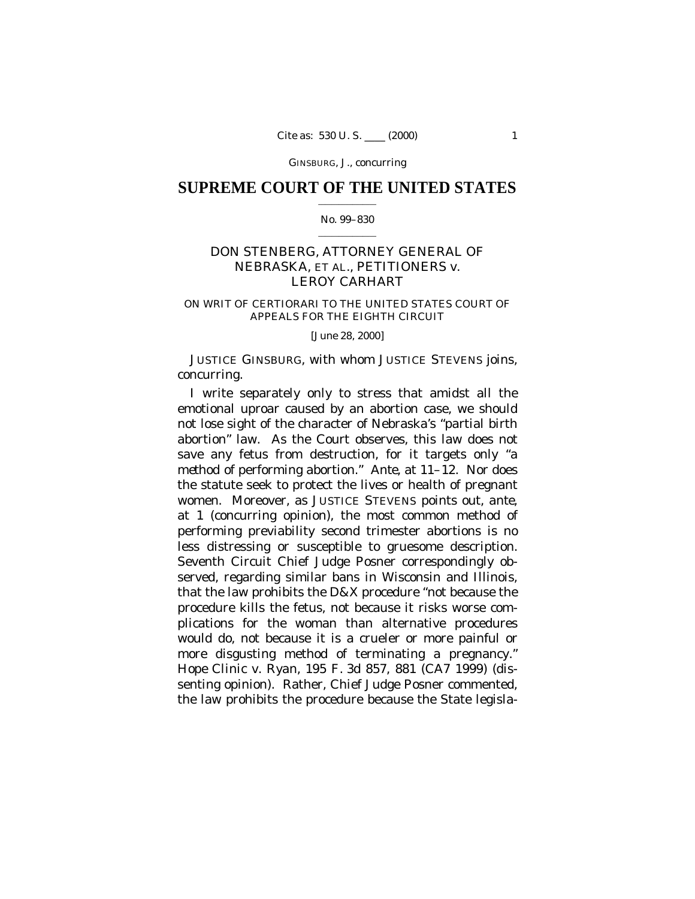GINSBURG, J., concurring

## **SUPREME COURT OF THE UNITED STATES**  $\mathcal{L}_\text{max}$  and  $\mathcal{L}_\text{max}$

### No. 99–830  $\mathcal{L}_\text{max}$  and  $\mathcal{L}_\text{max}$

# DON STENBERG, ATTORNEY GENERAL OF NEBRASKA, ET AL., PETITIONERS *v.* LEROY CARHART

## ON WRIT OF CERTIORARI TO THE UNITED STATES COURT OF APPEALS FOR THE EIGHTH CIRCUIT

[June 28, 2000]

JUSTICE GINSBURG, with whom JUSTICE STEVENS joins, concurring.

I write separately only to stress that amidst all the emotional uproar caused by an abortion case, we should not lose sight of the character of Nebraska's "partial birth abortion" law. As the Court observes, this law does not save any fetus from destruction, for it targets only "a *method* of performing abortion." *Ante,* at 11–12. Nor does the statute seek to protect the lives or health of pregnant women. Moreover, as JUSTICE STEVENS points out, *ante,* at 1 (concurring opinion), the most common method of performing previability second trimester abortions is no less distressing or susceptible to gruesome description. Seventh Circuit Chief Judge Posner correspondingly observed, regarding similar bans in Wisconsin and Illinois, that the law prohibits the D&X procedure "not because the procedure kills the fetus, not because it risks worse complications for the woman than alternative procedures would do, not because it is a crueler or more painful or more disgusting method of terminating a pregnancy." *Hope Clinic* v. *Ryan,* 195 F. 3d 857, 881 (CA7 1999) (dissenting opinion). Rather, Chief Judge Posner commented, the law prohibits the procedure because the State legisla-